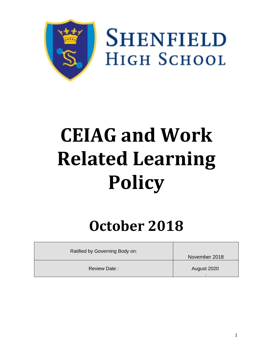

**SHENFIELD HIGH SCHOOL** 

# **CEIAG and Work Related Learning Policy**

# **October 2018**

| Ratified by Governing Body on: |               |
|--------------------------------|---------------|
|                                | November 2018 |
| <b>Review Date:</b>            | August 2020   |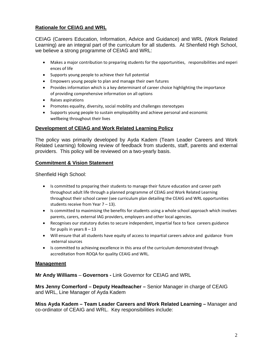# **Rationale for CEIAG and WRL**

CEIAG (Careers Education, Information, Advice and Guidance) and WRL (Work Related Learning) are an integral part of the curriculum for all students. At Shenfield High School, we believe a strong programme of CEIAG and WRL:

- Makes a major contribution to preparing students for the opportunities, responsibilities and experi ences of life
- Supports young people to achieve their full potential
- Empowers young people to plan and manage their own futures
- Provides information which is a key determinant of career choice highlighting the importance of providing comprehensive information on all options
- Raises aspirations
- Promotes equality, diversity, social mobility and challenges stereotypes
- Supports young people to sustain employability and achieve personal and economic wellbeing throughout their lives

#### **Development of CEIAG and Work Related Learning Policy**

The policy was primarily developed by Ayda Kadem (Team Leader Careers and Work Related Learning) following review of feedback from students, staff, parents and external providers. This policy will be reviewed on a two-yearly basis.

#### **Commitment & Vision Statement**

Shenfield High School:

- Is committed to preparing their students to manage their future education and career path throughout adult life through a planned programme of CEIAG and Work Related Learning throughout their school career (see curriculum plan detailing the CEAIG and WRL opportunities students receive from Year 7 – 13).
- Is committed to maximising the benefits for students using a whole school approach which involves parents, carers, external IAG providers, employers and other local agencies.
- Recognises our statutory duties to secure independent, impartial face to face careers guidance for pupils in years  $8 - 13$
- Will ensure that all students have equity of access to impartial careers advice and guidance from external sources
- Is committed to achieving excellence in this area of the curriculum demonstrated through accreditation from ROQA for quality CEAIG and WRL.

#### **Management**

**Mr Andy Williams** – **Governors -** Link Governor for CEIAG and WRL

**Mrs Jenny Comerford – Deputy Headteacher –** Senior Manager in charge of CEAIG and WRL, Line Manager of Ayda Kadem

**Miss Ayda Kadem – Team Leader Careers and Work Related Learning –** Manager and co-ordinator of CEAIG and WRL. Key responsibilities include: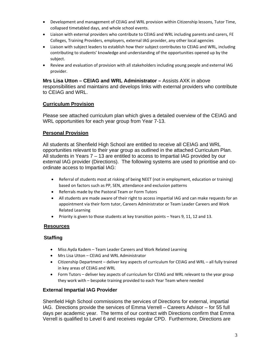- Development and management of CEIAG and WRL provision within Citizenship lessons, Tutor Time, collapsed timetabled days, and whole school events.
- Liaison with external providers who contribute to CEIAG and WRL including parents and carers, FE Colleges, Training Providers, employers, external IAG provider, any other local agencies
- Liaison with subject leaders to establish how their subject contributes to CEIAG and WRL, including contributing to students' knowledge and understanding of the opportunities opened up by the subject.
- Review and evaluation of provision with all stakeholders including young people and external IAG provider.

**Mrs Lisa Utton – CEIAG and WRL Administrator –** Assists AXK in above responsibilities and maintains and develops links with external providers who contribute to CEIAG and WRL.

# **Curriculum Provision**

Please see attached curriculum plan which gives a detailed overview of the CEIAG and WRL opportunities for each year group from Year 7-13.

#### **Personal Provision**

All students at Shenfield High School are entitled to receive all CEIAG and WRL opportunities relevant to their year group as outlined in the attached Curriculum Plan. All students in Years 7 – 13 are entitled to access to Impartial IAG provided by our external IAG provider (Directions). The following systems are used to prioritise and coordinate access to Impartial IAG:

- Referral of students most at risking of being NEET (not in employment, education or training) based on factors such as PP, SEN, attendance and exclusion patterns
- Referrals made by the Pastoral Team or Form Tutors
- All students are made aware of their right to access impartial IAG and can make requests for an appointment via their form tutor, Careers Administrator or Team Leader Careers and Work Related Learning
- Priority is given to those students at key transition points Years 9, 11, 12 and 13.

#### **Resources**

#### **Staffing**

- Miss Ayda Kadem Team Leader Careers and Work Related Learning
- Mrs Lisa Utton CEIAG and WRL Administrator
- Citizenship Department deliver key aspects of curriculum for CEIAG and WRL all fully trained in key areas of CEIAG and WRL
- Form Tutors deliver key aspects of curriculum for CEIAG and WRL relevant to the year group they work with – bespoke training provided to each Year Team where needed

#### **External Impartial IAG Provider**

Shenfield High School commissions the services of Directions for external, impartial IAG. Directions provide the services of Emma Verrell – Careers Advisor – for 55 full days per academic year. The terms of our contract with Directions confirm that Emma Verrell is qualified to Level 6 and receives regular CPD. Furthermore, Directions are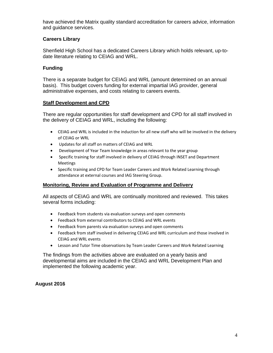have achieved the Matrix quality standard accreditation for careers advice, information and guidance services.

# **Careers Library**

Shenfield High School has a dedicated Careers Library which holds relevant, up-todate literature relating to CEIAG and WRL.

# **Funding**

There is a separate budget for CEIAG and WRL (amount determined on an annual basis). This budget covers funding for external impartial IAG provider, general administrative expenses, and costs relating to careers events.

# **Staff Development and CPD**

There are regular opportunities for staff development and CPD for all staff involved in the delivery of CEIAG and WRL, including the following:

- CEIAG and WRL is included in the induction for all new staff who will be involved in the delivery of CEIAG or WRL
- Updates for all staff on matters of CEIAG and WRL
- Development of Year Team knowledge in areas relevant to the year group
- Specific training for staff involved in delivery of CEIAG through INSET and Department Meetings
- Specific training and CPD for Team Leader Careers and Work Related Learning through attendance at external courses and IAG Steering Group.

# **Monitoring, Review and Evaluation of Programme and Delivery**

All aspects of CEIAG and WRL are continually monitored and reviewed. This takes several forms including:

- Feedback from students via evaluation surveys and open comments
- Feedback from external contributors to CEIAG and WRL events
- Feedback from parents via evaluation surveys and open comments
- Feedback from staff involved in delivering CEIAG and WRL curriculum and those involved in CEIAG and WRL events
- Lesson and Tutor Time observations by Team Leader Careers and Work Related Learning

The findings from the activities above are evaluated on a yearly basis and developmental aims are included in the CEIAG and WRL Development Plan and implemented the following academic year.

# **August 2016**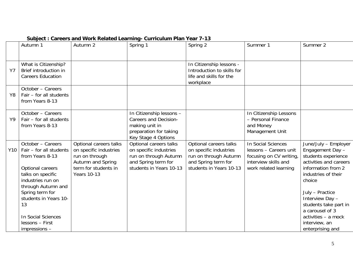|           | Autumn 1                                                                                                                                                                                                                                                         | Autumn 2                                                                                                                              | Spring 1                                                                                                                    | Spring 2                                                                                                                    | Summer 1                                                                                                                 | Summer 2                                                                                                                                                                                                                                                                                       |
|-----------|------------------------------------------------------------------------------------------------------------------------------------------------------------------------------------------------------------------------------------------------------------------|---------------------------------------------------------------------------------------------------------------------------------------|-----------------------------------------------------------------------------------------------------------------------------|-----------------------------------------------------------------------------------------------------------------------------|--------------------------------------------------------------------------------------------------------------------------|------------------------------------------------------------------------------------------------------------------------------------------------------------------------------------------------------------------------------------------------------------------------------------------------|
| <b>Y7</b> | What is Citizenship?<br>Brief introduction in<br><b>Careers Education</b>                                                                                                                                                                                        |                                                                                                                                       |                                                                                                                             | In Citizenship lessons -<br>Introduction to skills for<br>life and skills for the<br>workplace                              |                                                                                                                          |                                                                                                                                                                                                                                                                                                |
| Y8        | October - Careers<br>Fair - for all students<br>from Years 8-13                                                                                                                                                                                                  |                                                                                                                                       |                                                                                                                             |                                                                                                                             |                                                                                                                          |                                                                                                                                                                                                                                                                                                |
| Y9        | October - Careers<br>Fair - for all students<br>from Years 8-13                                                                                                                                                                                                  |                                                                                                                                       | In Citizenship lessons -<br><b>Careers and Decision-</b><br>making unit in<br>preparation for taking<br>Key Stage 4 Options |                                                                                                                             | In Citizenship Lessons<br>- Personal Finance<br>and Money<br>Management Unit                                             |                                                                                                                                                                                                                                                                                                |
| Y10       | October - Careers<br>Fair - for all students<br>from Years 8-13<br>Optional careers<br>talks on specific<br>industries run on<br>through Autumn and<br>Spring term for<br>students in Years 10-<br>13<br>In Social Sciences<br>lessons - First<br>$impression -$ | Optional careers talks<br>on specific industries<br>run on through<br>Autumn and Spring<br>term for students in<br><b>Years 10-13</b> | Optional careers talks<br>on specific industries<br>run on through Autumn<br>and Spring term for<br>students in Years 10-13 | Optional careers talks<br>on specific industries<br>run on through Autumn<br>and Spring term for<br>students in Years 10-13 | In Social Sciences<br>lessons - Careers unit<br>focusing on CV writing,<br>interview skills and<br>work related learning | June/July - Employer<br>Engagement Day -<br>students experience<br>activities and careers<br>information from 2<br>industries of their<br>choice<br>July - Practice<br>Interview Day -<br>students take part in<br>a carousel of 3<br>activities - a mock<br>interview, an<br>enterprising and |

# **Subject : Careers and Work Related Learning- Curriculum Plan Year 7-13**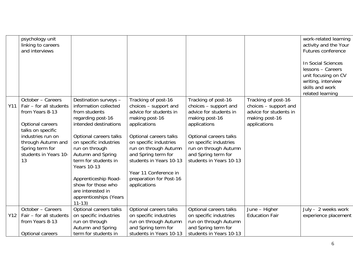|     | psychology unit<br>linking to careers<br>and interviews                                                                                                                                               |                                                                                                                                                                                                                                                                                                                                                                  |                                                                                                                                                                                                                                                                                                             |                                                                                                                                                                                                                                         |                                                                                                          | work-related learning<br>activity and the Your<br>Futures conference<br>In Social Sciences<br>lessons - Careers<br>unit focusing on CV<br>writing, interview<br>skills and work |
|-----|-------------------------------------------------------------------------------------------------------------------------------------------------------------------------------------------------------|------------------------------------------------------------------------------------------------------------------------------------------------------------------------------------------------------------------------------------------------------------------------------------------------------------------------------------------------------------------|-------------------------------------------------------------------------------------------------------------------------------------------------------------------------------------------------------------------------------------------------------------------------------------------------------------|-----------------------------------------------------------------------------------------------------------------------------------------------------------------------------------------------------------------------------------------|----------------------------------------------------------------------------------------------------------|---------------------------------------------------------------------------------------------------------------------------------------------------------------------------------|
|     |                                                                                                                                                                                                       |                                                                                                                                                                                                                                                                                                                                                                  |                                                                                                                                                                                                                                                                                                             |                                                                                                                                                                                                                                         |                                                                                                          | related learning                                                                                                                                                                |
| Y11 | October - Careers<br>Fair - for all students<br>from Years 8-13<br>Optional careers<br>talks on specific<br>industries run on<br>through Autumn and<br>Spring term for<br>students in Years 10-<br>13 | Destination surveys -<br>information collected<br>from students<br>regarding post-16<br>intended destinations<br>Optional careers talks<br>on specific industries<br>run on through<br>Autumn and Spring<br>term for students in<br><b>Years 10-13</b><br>Apprenticeship Road-<br>show for those who<br>are interested in<br>apprenticeships (Years<br>$11 - 13$ | Tracking of post-16<br>choices - support and<br>advice for students in<br>making post-16<br>applications<br>Optional careers talks<br>on specific industries<br>run on through Autumn<br>and Spring term for<br>students in Years 10-13<br>Year 11 Conference in<br>preparation for Post-16<br>applications | Tracking of post-16<br>choices - support and<br>advice for students in<br>making post-16<br>applications<br>Optional careers talks<br>on specific industries<br>run on through Autumn<br>and Spring term for<br>students in Years 10-13 | Tracking of post-16<br>choices - support and<br>advice for students in<br>making post-16<br>applications |                                                                                                                                                                                 |
|     | October - Careers                                                                                                                                                                                     | Optional careers talks                                                                                                                                                                                                                                                                                                                                           | Optional careers talks                                                                                                                                                                                                                                                                                      | Optional careers talks                                                                                                                                                                                                                  | June - Higher                                                                                            | July - 2 weeks work                                                                                                                                                             |
| Y12 | Fair - for all students                                                                                                                                                                               | on specific industries                                                                                                                                                                                                                                                                                                                                           | on specific industries                                                                                                                                                                                                                                                                                      | on specific industries                                                                                                                                                                                                                  | <b>Education Fair</b>                                                                                    | experience placement                                                                                                                                                            |
|     | from Years 8-13                                                                                                                                                                                       | run on through                                                                                                                                                                                                                                                                                                                                                   | run on through Autumn                                                                                                                                                                                                                                                                                       | run on through Autumn                                                                                                                                                                                                                   |                                                                                                          |                                                                                                                                                                                 |
|     |                                                                                                                                                                                                       | Autumn and Spring                                                                                                                                                                                                                                                                                                                                                | and Spring term for                                                                                                                                                                                                                                                                                         | and Spring term for                                                                                                                                                                                                                     |                                                                                                          |                                                                                                                                                                                 |
|     | Optional careers                                                                                                                                                                                      | term for students in                                                                                                                                                                                                                                                                                                                                             | students in Years 10-13                                                                                                                                                                                                                                                                                     | students in Years 10-13                                                                                                                                                                                                                 |                                                                                                          |                                                                                                                                                                                 |